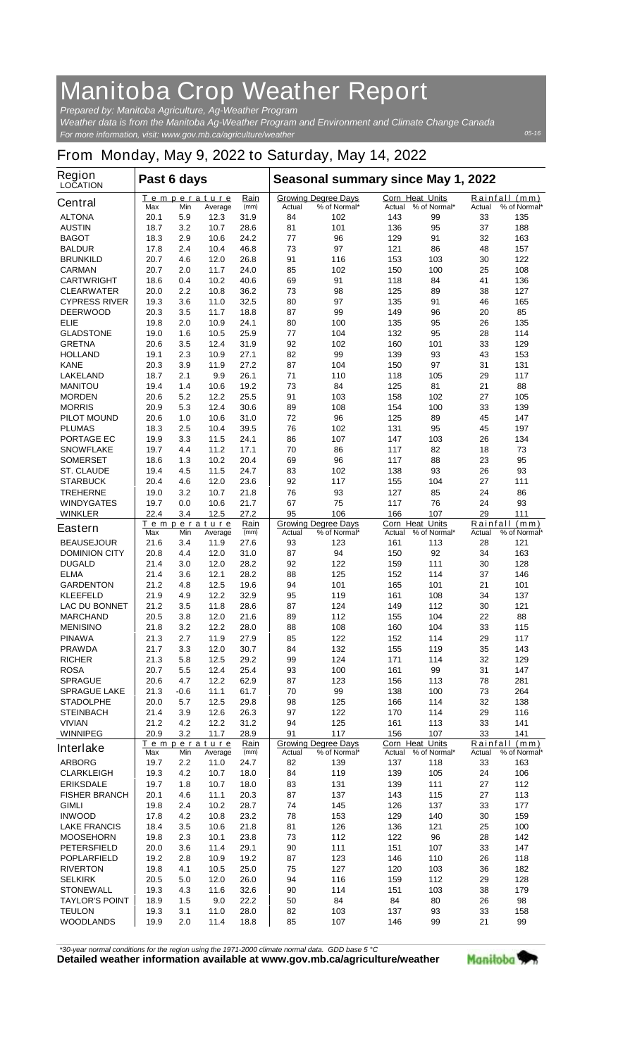## **Manitoba Crop Weather Report**

*For more information, visit: www.gov.mb.ca/agriculture/weather Prepared by: Manitoba Agriculture, Ag-Weather Program Weather data is from the Manitoba Ag-Weather Program and Environment and Climate Change Canada*

## **From Monday, May 9, 2022 to Saturday, May 14, 2022**

| Region<br><b>LOCATION</b>              | Past 6 days               |                         |              |              | Seasonal summary since May 1, 2022 |                                            |                                  |              |          |                               |
|----------------------------------------|---------------------------|-------------------------|--------------|--------------|------------------------------------|--------------------------------------------|----------------------------------|--------------|----------|-------------------------------|
| <b>Central</b>                         | <u>Temperature</u><br>Max | Min                     | Average      | Rain<br>(mm) | Actual                             | <b>Growing Degree Davs</b><br>% of Normal* | <b>Corn Heat Units</b><br>Actual | % of Normal* | Actual   | Rainfall (mm)<br>% of Normal* |
| <b>ALTONA</b>                          | 20.1                      | 5.9                     | 12.3         | 31.9         | 84                                 | 102                                        | 143                              | 99           | 33       | 135                           |
| <b>AUSTIN</b>                          | 18.7                      | 3.2                     | 10.7         | 28.6         | 81                                 | 101                                        | 136                              | 95           | 37       | 188                           |
| <b>BAGOT</b>                           | 18.3                      | 2.9                     | 10.6         | 24.2         | 77                                 | 96                                         | 129                              | 91           | 32       | 163                           |
| <b>BALDUR</b>                          | 17.8                      | 2.4                     | 10.4         | 46.8         | 73                                 | 97                                         | 121                              | 86           | 48       | 157                           |
| <b>BRUNKILD</b>                        | 20.7                      | 4.6                     | 12.0         | 26.8         | 91                                 | 116                                        | 153                              | 103          | 30       | 122                           |
| <b>CARMAN</b>                          | 20.7                      | 2.0                     | 11.7         | 24.0         | 85                                 | 102                                        | 150                              | 100          | 25       | 108                           |
| <b>CARTWRIGHT</b><br><b>CLEARWATER</b> | 18.6                      | 0.4                     | 10.2         | 40.6         | 69                                 | 91<br>98                                   | 118                              | 84           | 41<br>38 | 136                           |
| <b>CYPRESS RIVER</b>                   | 20.0<br>19.3              | $2.2\phantom{0}$<br>3.6 | 10.8<br>11.0 | 36.2<br>32.5 | 73<br>80                           | 97                                         | 125<br>135                       | 89<br>91     | 46       | 127<br>165                    |
| <b>DEERWOOD</b>                        | 20.3                      | 3.5                     | 11.7         | 18.8         | 87                                 | 99                                         | 149                              | 96           | 20       | 85                            |
| <b>ELIE</b>                            | 19.8                      | 2.0                     | 10.9         | 24.1         | 80                                 | 100                                        | 135                              | 95           | 26       | 135                           |
| <b>GLADSTONE</b>                       | 19.0                      | 1.6                     | 10.5         | 25.9         | 77                                 | 104                                        | 132                              | 95           | 28       | 114                           |
| <b>GRETNA</b>                          | 20.6                      | 3.5                     | 12.4         | 31.9         | 92                                 | 102                                        | 160                              | 101          | 33       | 129                           |
| <b>HOLLAND</b>                         | 19.1                      | 2.3                     | 10.9         | 27.1         | 82                                 | 99                                         | 139                              | 93           | 43       | 153                           |
| <b>KANE</b>                            | 20.3                      | 3.9                     | 11.9         | 27.2         | 87                                 | 104                                        | 150                              | 97           | 31       | 131                           |
| <b>LAKELAND</b><br><b>MANITOU</b>      | 18.7<br>19.4              | 2.1<br>1.4              | 9.9<br>10.6  | 26.1<br>19.2 | 71<br>73                           | 110<br>84                                  | 118<br>125                       | 105<br>81    | 29<br>21 | 117<br>88                     |
| <b>MORDEN</b>                          | 20.6                      | 5.2                     | 12.2         | 25.5         | 91                                 | 103                                        | 158                              | 102          | 27       | 105                           |
| <b>MORRIS</b>                          | 20.9                      | 5.3                     | 12.4         | 30.6         | 89                                 | 108                                        | 154                              | 100          | 33       | 139                           |
| <b>PILOT MOUND</b>                     | 20.6                      | 1.0                     | 10.6         | 31.0         | 72                                 | 96                                         | 125                              | 89           | 45       | 147                           |
| <b>PLUMAS</b>                          | 18.3                      | 2.5                     | 10.4         | 39.5         | 76                                 | 102                                        | 131                              | 95           | 45       | 197                           |
| <b>PORTAGE EC</b>                      | 19.9                      | 3.3                     | 11.5         | 24.1         | 86                                 | 107                                        | 147                              | 103          | 26       | 134                           |
| <b>SNOWFLAKE</b>                       | 19.7                      | 4.4                     | 11.2         | 17.1         | 70                                 | 86                                         | 117                              | 82           | 18       | 73                            |
| <b>SOMERSET</b>                        | 18.6                      | 1.3                     | 10.2         | 20.4         | 69                                 | 96                                         | 117                              | 88           | 23       | 95                            |
| <b>ST. CLAUDE</b>                      | 19.4                      | 4.5                     | 11.5         | 24.7         | 83                                 | 102                                        | 138                              | 93           | 26       | 93                            |
| <b>STARBUCK</b>                        | 20.4                      | 4.6                     | 12.0         | 23.6         | 92                                 | 117<br>93                                  | 155                              | 104<br>85    | 27       | 111                           |
| <b>TREHERNE</b><br><b>WINDYGATES</b>   | 19.0<br>19.7              | 3.2<br>0.0              | 10.7<br>10.6 | 21.8<br>21.7 | 76<br>67                           | 75                                         | 127<br>117                       | 76           | 24<br>24 | 86<br>93                      |
| <b>WINKLER</b>                         | 22.4                      | 3.4                     | 12.5         | 27.2         | 95                                 | 106                                        | 166                              | 107          | 29       | 111                           |
|                                        | <b>Temperature</b>        |                         |              | Rain         |                                    | <b>Growing Degree Days</b>                 | <b>Corn Heat Units</b>           |              | Rainfall | (mm)                          |
| <b>Eastern</b>                         | Max                       | Min                     | Average      | (mm)         | Actual                             | % of Normal*                               | Actual                           | % of Normal* | Actual   | % of Normal*                  |
| <b>BEAUSEJOUR</b>                      | 21.6                      | 3.4                     | 11.9         | 27.6         | 93                                 | 123                                        | 161                              | 113          | 28       | 121                           |
| <b>DOMINION CITY</b><br><b>DUGALD</b>  | 20.8<br>21.4              | 4.4                     | 12.0<br>12.0 | 31.0<br>28.2 | 87<br>92                           | 94<br>122                                  | 150<br>159                       | 92<br>111    | 34<br>30 | 163<br>128                    |
| <b>ELMA</b>                            | 21.4                      | 3.0<br>3.6              | 12.1         | 28.2         | 88                                 | 125                                        | 152                              | 114          | 37       | 146                           |
| <b>GARDENTON</b>                       | 21.2                      | 4.8                     | 12.5         | 19.6         | 94                                 | 101                                        | 165                              | 101          | 21       | 101                           |
| <b>KLEEFELD</b>                        | 21.9                      | 4.9                     | 12.2         | 32.9         | 95                                 | 119                                        | 161                              | 108          | 34       | 137                           |
| <b>LAC DU BONNET</b>                   | 21.2                      | 3.5                     | 11.8         | 28.6         | 87                                 | 124                                        | 149                              | 112          | 30       | 121                           |
| <b>MARCHAND</b>                        | 20.5                      | 3.8                     | 12.0         | 21.6         | 89                                 | 112                                        | 155                              | 104          | 22       | 88                            |
| <b>MENISINO</b>                        | 21.8                      | 3.2                     | 12.2         | 28.0         | 88                                 | 108                                        | 160                              | 104          | 33       | 115                           |
| <b>PINAWA</b>                          | 21.3                      | 2.7                     | 11.9         | 27.9         | 85                                 | 122                                        | 152                              | 114          | 29       | 117                           |
| <b>PRAWDA</b><br><b>RICHER</b>         | 21.7<br>21.3              | 3.3<br>5.8              | 12.0<br>12.5 | 30.7<br>29.2 | 84<br>99                           | 132<br>124                                 | 155<br>171                       | 119<br>114   | 35<br>32 | 143<br>129                    |
| <b>ROSA</b>                            | 20.7                      | 5.5                     | 12.4         | 25.4         | 93                                 | 100                                        | 161                              | 99           | 31       | 147                           |
| <b>SPRAGUE</b>                         | 20.6                      | 4.7                     | 12.2         | 62.9         | 87                                 | 123                                        | 156                              | 113          | 78       | 281                           |
| <b>SPRAGUE LAKE</b>                    | 21.3                      | -0.6                    | 11.1         | 61.7         | 70                                 | 99                                         | 138                              | 100          | 73       | 264                           |
| <b>STADOLPHE</b>                       | 20.0                      | 5.7                     | 12.5         | 29.8         | 98                                 | 125                                        | 166                              | 114          | 32       | 138                           |
| <b>STEINBACH</b>                       | 21.4                      | 3.9                     | 12.6         | 26.3         | 97                                 | 122                                        | 170                              | 114          | 29       | 116                           |
| <b>VIVIAN</b>                          | 21.2                      | 4.2                     | 12.2         | 31.2         | 94                                 | 125                                        | 161                              | 113          | 33       | 141                           |
| <b>WINNIPEG</b>                        | 20.9                      | 3.2                     | 11.7         | 28.9         | 91                                 | 117                                        | 156                              | 107          | 33       | 141                           |
| <b>Interlake</b>                       | Temperature<br>Max        | Min                     | Average      | Rain<br>(mm) | Actual                             | <b>Growing Degree Days</b><br>% of Normal* | Corn Heat Units<br>Actual        | % of Normal* | Actual   | Rainfall (mm)<br>% of Normal* |
| <b>ARBORG</b>                          | 19.7                      | 2.2                     | 11.0         | 24.7         | 82                                 | 139                                        | 137                              | 118          | 33       | 163                           |
| <b>CLARKLEIGH</b>                      | 19.3                      | 4.2                     | 10.7         | 18.0         | 84                                 | 119                                        | 139                              | 105          | 24       | 106                           |
| <b>ERIKSDALE</b>                       | 19.7                      | 1.8                     | 10.7         | 18.0         | 83                                 | 131                                        | 139                              | 111          | 27       | 112                           |
| <b>FISHER BRANCH</b>                   | 20.1                      | 4.6                     | 11.1         | 20.3         | 87                                 | 137                                        | 143                              | 115          | 27       | 113                           |
| <b>GIMLI</b>                           | 19.8                      | 2.4                     | 10.2         | 28.7         | 74                                 | 145                                        | 126                              | 137          | 33       | 177                           |
| <b>INWOOD</b><br><b>LAKE FRANCIS</b>   | 17.8<br>18.4              | 4.2<br>3.5              | 10.8<br>10.6 | 23.2<br>21.8 | 78<br>81                           | 153<br>126                                 | 129<br>136                       | 140<br>121   | 30<br>25 | 159<br>100                    |
| <b>MOOSEHORN</b>                       | 19.8                      | 2.3                     | 10.1         | 23.8         | 73                                 | 112                                        | 122                              | 96           | 28       | 142                           |
| <b>PETERSFIELD</b>                     | 20.0                      | 3.6                     | 11.4         | 29.1         | 90                                 | 111                                        | 151                              | 107          | 33       | 147                           |
| <b>POPLARFIELD</b>                     | 19.2                      | 2.8                     | 10.9         | 19.2         | 87                                 | 123                                        | 146                              | 110          | 26       | 118                           |
| <b>RIVERTON</b>                        | 19.8                      | 4.1                     | 10.5         | 25.0         | 75                                 | 127                                        | 120                              | 103          | 36       | 182                           |
| <b>SELKIRK</b>                         | 20.5                      | 5.0                     | 12.0         | 26.0         | 94                                 | 116                                        | 159                              | 112          | 29       | 128                           |
| <b>STONEWALL</b>                       | 19.3                      | 4.3                     | 11.6         | 32.6         | 90                                 | 114                                        | 151                              | 103          | 38       | 179                           |
| <b>TAYLOR'S POINT</b><br><b>TEULON</b> | 18.9                      | 1.5                     | 9.0          | 22.2         | 50                                 | 84                                         | 84                               | 80           | 26       | 98                            |
| <b>WOODLANDS</b>                       | 19.3<br>19.9              | 3.1<br>2.0              | 11.0<br>11.4 | 28.0<br>18.8 | 82<br>85                           | 103<br>107                                 | 137<br>146                       | 93<br>99     | 33<br>21 | 158<br>99                     |
|                                        |                           |                         |              |              |                                    |                                            |                                  |              |          |                               |

*\*30-year normal conditions for the region using the 1971-2000 climate normal data. GDD base 5 °C*<br>Detailed weather information available at www.gov.mb.ca/agriculture/weather